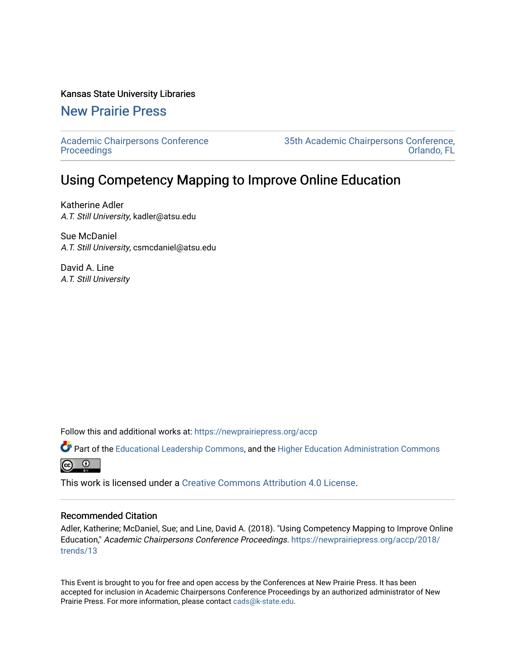### Kansas State University Libraries

# [New Prairie Press](https://newprairiepress.org/)

[Academic Chairpersons Conference](https://newprairiepress.org/accp)  **Proceedings** 

[35th Academic Chairpersons Conference,](https://newprairiepress.org/accp/2018)  [Orlando, FL](https://newprairiepress.org/accp/2018) 

# Using Competency Mapping to Improve Online Education

Katherine Adler A.T. Still University, kadler@atsu.edu

Sue McDaniel A.T. Still University, csmcdaniel@atsu.edu

David A. Line A.T. Still University

Follow this and additional works at: [https://newprairiepress.org/accp](https://newprairiepress.org/accp?utm_source=newprairiepress.org%2Faccp%2F2018%2Ftrends%2F13&utm_medium=PDF&utm_campaign=PDFCoverPages) 

Part of the [Educational Leadership Commons,](http://network.bepress.com/hgg/discipline/1230?utm_source=newprairiepress.org%2Faccp%2F2018%2Ftrends%2F13&utm_medium=PDF&utm_campaign=PDFCoverPages) and the [Higher Education Administration Commons](http://network.bepress.com/hgg/discipline/791?utm_source=newprairiepress.org%2Faccp%2F2018%2Ftrends%2F13&utm_medium=PDF&utm_campaign=PDFCoverPages)  $\odot$ ര

This work is licensed under a [Creative Commons Attribution 4.0 License](https://creativecommons.org/licenses/by/4.0/).

### Recommended Citation

Adler, Katherine; McDaniel, Sue; and Line, David A. (2018). "Using Competency Mapping to Improve Online Education," Academic Chairpersons Conference Proceedings. [https://newprairiepress.org/accp/2018/](https://newprairiepress.org/accp/2018/trends/13) [trends/13](https://newprairiepress.org/accp/2018/trends/13) 

This Event is brought to you for free and open access by the Conferences at New Prairie Press. It has been accepted for inclusion in Academic Chairpersons Conference Proceedings by an authorized administrator of New Prairie Press. For more information, please contact [cads@k-state.edu.](mailto:cads@k-state.edu)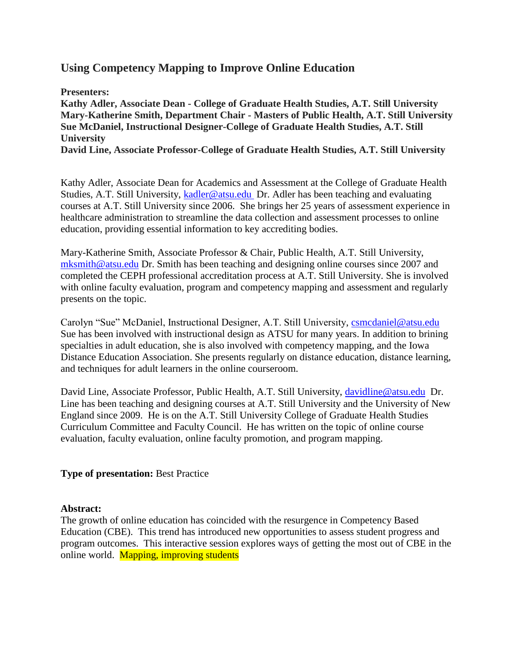## **Using Competency Mapping to Improve Online Education**

**Presenters: Kathy Adler, Associate Dean - College of Graduate Health Studies, A.T. Still University Mary-Katherine Smith, Department Chair - Masters of Public Health, A.T. Still University Sue McDaniel, Instructional Designer-College of Graduate Health Studies, A.T. Still University David Line, Associate Professor-College of Graduate Health Studies, A.T. Still University**

Kathy Adler, Associate Dean for Academics and Assessment at the College of Graduate Health Studies, A.T. Still University, [kadler@atsu.edu](mailto:kadler@atsu.edu) Dr. Adler has been teaching and evaluating courses at A.T. Still University since 2006. She brings her 25 years of assessment experience in healthcare administration to streamline the data collection and assessment processes to online education, providing essential information to key accrediting bodies.

Mary-Katherine Smith, Associate Professor & Chair, Public Health, A.T. Still University, [mksmith@atsu.edu](mailto:mksmith@atsu.edu) Dr. Smith has been teaching and designing online courses since 2007 and completed the CEPH professional accreditation process at A.T. Still University. She is involved with online faculty evaluation, program and competency mapping and assessment and regularly presents on the topic.

Carolyn "Sue" McDaniel, Instructional Designer, A.T. Still University, [csmcdaniel@atsu.edu](mailto:csmcdaniel@atsu.edu) Sue has been involved with instructional design as ATSU for many years. In addition to brining specialties in adult education, she is also involved with competency mapping, and the Iowa Distance Education Association. She presents regularly on distance education, distance learning, and techniques for adult learners in the online courseroom.

David Line, Associate Professor, Public Health, A.T. Still University, *davidline@atsu.edu Dr.* Line has been teaching and designing courses at A.T. Still University and the University of New England since 2009. He is on the A.T. Still University College of Graduate Health Studies Curriculum Committee and Faculty Council. He has written on the topic of online course evaluation, faculty evaluation, online faculty promotion, and program mapping.

### **Type of presentation:** Best Practice

### **Abstract:**

The growth of online education has coincided with the resurgence in Competency Based Education (CBE). This trend has introduced new opportunities to assess student progress and program outcomes. This interactive session explores ways of getting the most out of CBE in the online world. Mapping, improving students